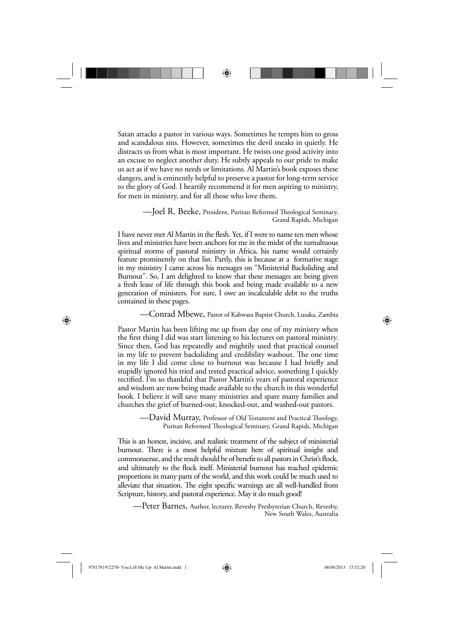Satan attacks a pastor in various ways. Sometimes he tempts him to gross and scandalous sins. However, sometimes the devil sneaks in quietly. He distracts us from what is most important. He twists one good activity into an excuse to neglect another duty. He subtly appeals to our pride to make us act as if we have no needs or limitations. Al Martin's book exposes these dangers, and is eminently helpful to preserve a pastor for long-term service to the glory of God. I heartily recommend it for men aspiring to ministry, for men in ministry, and for all those who love them.

♠

#### —Joel R. Beeke, President, Puritan Reformed Theological Seminary, Grand Rapids, Michigan

I have never met Al Martin in the flesh. Yet, if I were to name ten men whose lives and ministries have been anchors for me in the midst of the tumultuous spiritual storms of pastoral ministry in Africa, his name would certainly feature prominently on that list. Partly, this is because at a formative stage in my ministry I came across his messages on "Ministerial Backsliding and Burnout". So, I am delighted to know that these messages are being given a fresh lease of life through this book and being made available to a new generation of ministers. For sure, I owe an incalculable debt to the truths contained in these pages.

—Conrad Mbewe, Pastor of Kabwata Baptist Church, Lusaka, Zambia

Pastor Martin has been lifting me up from day one of my ministry when the first thing I did was start listening to his lectures on pastoral ministry. Since then, God has repeatedly and mightily used that practical counsel in my life to prevent backsliding and credibility washout. The one time in my life I did come close to burnout was because I had briefly and stupidly ignored his tried and tested practical advice, something I quickly rectified. I'm so thankful that Pastor Martin's years of pastoral experience and wisdom are now being made available to the church in this wonderful book. I believe it will save many ministries and spare many families and churches the grief of burned-out, knocked-out, and washed-out pastors.

> — $\emph{David Murray, Professor of Old Testament and Practical Theology},$ Puritan Reformed Theological Seminary, Grand Rapids, Michigan

This is an honest, incisive, and realistic treatment of the subject of ministerial burnout. There is a most helpful mixture here of spiritual insight and commonsense, and the result should be of benefit to all pastors in Christ's flock, and ultimately to the flock itself. Ministerial burnout has reached epidemic proportions in many parts of the world, and this work could be much used to alleviate that situation. The eight specific warnings are all well-handled from Scripture, history, and pastoral experience. May it do much good!

—Peter Barnes, Author, lecturer, Revesby Presbyterian Church, Revesby, New South Wales, Australia

⊕

♠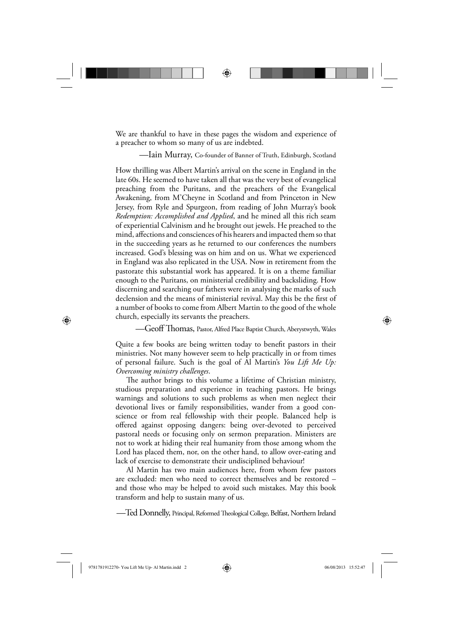We are thankful to have in these pages the wisdom and experience of a preacher to whom so many of us are indebted.

♠

—Iain Murray, Co-founder of Banner of Truth, Edinburgh, Scotland

How thrilling was Albert Martin's arrival on the scene in England in the late 60s. He seemed to have taken all that was the very best of evangelical preaching from the Puritans, and the preachers of the Evangelical Awakening, from M'Cheyne in Scotland and from Princeton in New Jersey, from Ryle and Spurgeon, from reading of John Murray's book *Redemption: Accomplished and Applied*, and he mined all this rich seam of experiential Calvinism and he brought out jewels. He preached to the mind, affections and consciences of his hearers and impacted them so that in the succeeding years as he returned to our conferences the numbers increased. God's blessing was on him and on us. What we experienced in England was also replicated in the USA. Now in retirement from the pastorate this substantial work has appeared. It is on a theme familiar enough to the Puritans, on ministerial credibility and backsliding. How discerning and searching our fathers were in analysing the marks of such declension and the means of ministerial revival. May this be the first of a number of books to come from Albert Martin to the good of the whole church, especially its servants the preachers.

—Geoff Thomas, Pastor, Alfred Place Baptist Church, Aberystwyth, Wales

Quite a few books are being written today to benefit pastors in their ministries. Not many however seem to help practically in or from times of personal failure. Such is the goal of Al Martin's *You Lift Me Up: Overcoming ministry challenges*.

The author brings to this volume a lifetime of Christian ministry, studious preparation and experience in teaching pastors. He brings warnings and solutions to such problems as when men neglect their devotional lives or family responsibilities, wander from a good conscience or from real fellowship with their people. Balanced help is offered against opposing dangers: being over-devoted to perceived pastoral needs or focusing only on sermon preparation. Ministers are not to work at hiding their real humanity from those among whom the Lord has placed them, nor, on the other hand, to allow over-eating and lack of exercise to demonstrate their undisciplined behaviour!

Al Martin has two main audiences here, from whom few pastors are excluded: men who need to correct themselves and be restored – and those who may be helped to avoid such mistakes. May this book transform and help to sustain many of us.

—Ted Donnelly, Principal, Reformed Theological College, Belfast, Northern Ireland

⊕

♠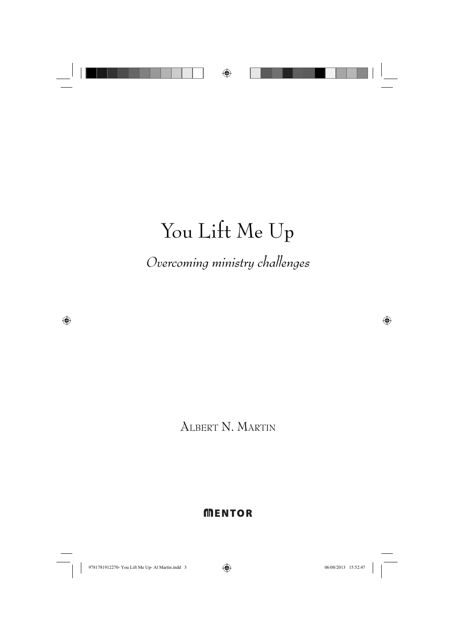

# You Lift Me Up

*Overcoming ministry challenges*

ALBERT N. MARTIN

## **MENTOR**

 $\bigoplus$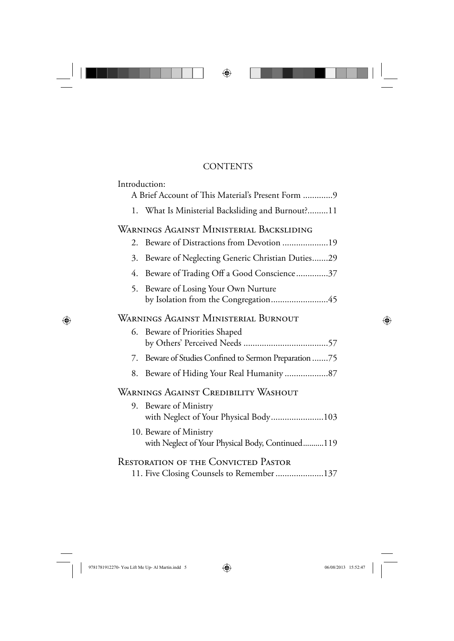## **CONTENTS**

 $\bigoplus$ 

| Introduction:                                                                           |
|-----------------------------------------------------------------------------------------|
| A Brief Account of This Material's Present Form 9                                       |
| 1. What Is Ministerial Backsliding and Burnout? 11                                      |
| WARNINGS AGAINST MINISTERIAL BACKSLIDING                                                |
| Beware of Distractions from Devotion 19<br>2.                                           |
| Beware of Neglecting Generic Christian Duties29<br>3.                                   |
| Beware of Trading Off a Good Conscience37<br>4.                                         |
| Beware of Losing Your Own Nurture<br>5.<br>by Isolation from the Congregation45         |
| WARNINGS AGAINST MINISTERIAL BURNOUT                                                    |
| Beware of Priorities Shaped<br>6.                                                       |
| Beware of Studies Confined to Sermon Preparation 75<br>7.                               |
| Beware of Hiding Your Real Humanity 87<br>8.                                            |
| Warnings Against Credibility Washout                                                    |
| Beware of Ministry<br>9.<br>with Neglect of Your Physical Body103                       |
| 10. Beware of Ministry<br>with Neglect of Your Physical Body, Continued119              |
| <b>RESTORATION OF THE CONVICTED PASTOR</b><br>11. Five Closing Counsels to Remember 137 |

n L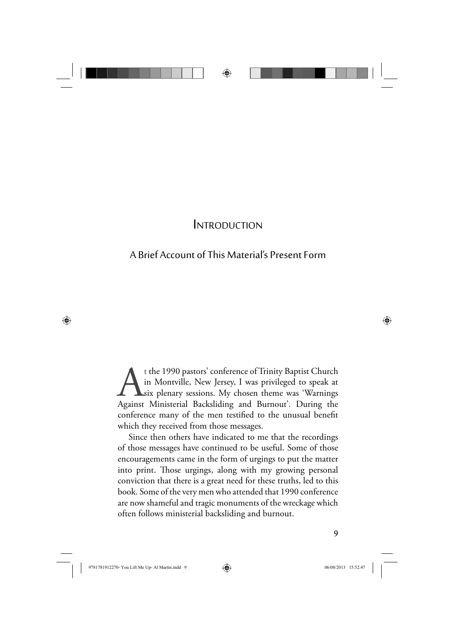

## INTRODUCTION

## A Brief Account of This Material's Present Form

t the 1990 pastors' conference of Trinity Baptist Church<br>in Montville, New Jersey, I was privileged to speak at<br>six plenary sessions. My chosen theme was 'Warnings<br>Against Ministerial Backsliding and Burnout'. During the in Montville, New Jersey, I was privileged to speak at six plenary sessions. My chosen theme was 'Warnings Against Ministerial Backsliding and Burnout'. During the conference many of the men testified to the unusual benefit which they received from those messages.

Since then others have indicated to me that the recordings of those messages have continued to be useful. Some of those encouragements came in the form of urgings to put the matter into print. Those urgings, along with my growing personal conviction that there is a great need for these truths, led to this book. Some of the very men who attended that 1990 conference are now shameful and tragic monuments of the wreckage which often follows ministerial backsliding and burnout.

 $\bigoplus$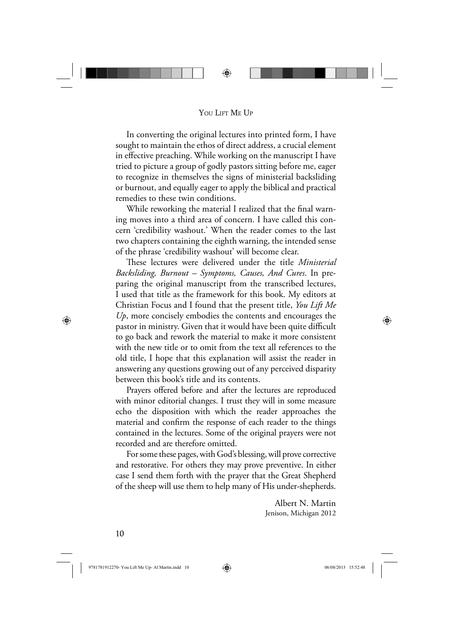

#### YOU LIFT ME UP

In converting the original lectures into printed form, I have sought to maintain the ethos of direct address, a crucial element in effective preaching. While working on the manuscript I have tried to picture a group of godly pastors sitting before me, eager to recognize in themselves the signs of ministerial backsliding or burnout, and equally eager to apply the biblical and practical remedies to these twin conditions.

While reworking the material I realized that the final warning moves into a third area of concern. I have called this concern 'credibility washout.' When the reader comes to the last two chapters containing the eighth warning, the intended sense of the phrase 'credibility washout' will become clear.

These lectures were delivered under the title *Ministerial Backsliding, Burnout – Symptoms, Causes, And Cures*. In preparing the original manuscript from the transcribed lectures, I used that title as the framework for this book. My editors at Christian Focus and I found that the present title, *You Lift Me Up*, more concisely embodies the contents and encourages the pastor in ministry. Given that it would have been quite difficult to go back and rework the material to make it more consistent with the new title or to omit from the text all references to the old title, I hope that this explanation will assist the reader in answering any questions growing out of any perceived disparity between this book's title and its contents.

Prayers offered before and after the lectures are reproduced with minor editorial changes. I trust they will in some measure echo the disposition with which the reader approaches the material and confirm the response of each reader to the things contained in the lectures. Some of the original prayers were not recorded and are therefore omitted.

For some these pages, with God's blessing, will prove corrective and restorative. For others they may prove preventive. In either case I send them forth with the prayer that the Great Shepherd of the sheep will use them to help many of His under-shepherds.

> Albert N. Martin Jenison, Michigan 2012

10

⊕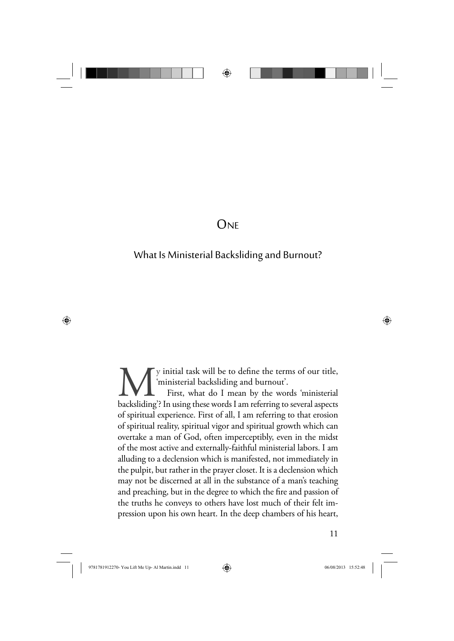

## **ONE**

## What Is Ministerial Backsliding and Burnout?

We initial task will be to define the terms of our title,<br>
First, what do I mean by the words 'ministerial<br>
backsliding'? In using these words I am referring to several aspects 'ministerial backsliding and burnout'. First, what do I mean by the words 'ministerial of spiritual experience. First of all, I am referring to that erosion of spiritual reality, spiritual vigor and spiritual growth which can overtake a man of God, often imperceptibly, even in the midst of the most active and externally-faithful ministerial labors. I am alluding to a declension which is manifested, not immediately in the pulpit, but rather in the prayer closet. It is a declension which may not be discerned at all in the substance of a man's teaching and preaching, but in the degree to which the fire and passion of the truths he conveys to others have lost much of their felt impression upon his own heart. In the deep chambers of his heart,

11

9781781912270- You Lift Me Up- Al Martin.indd 11 06/08/2013 15:52:48

 $\bigoplus$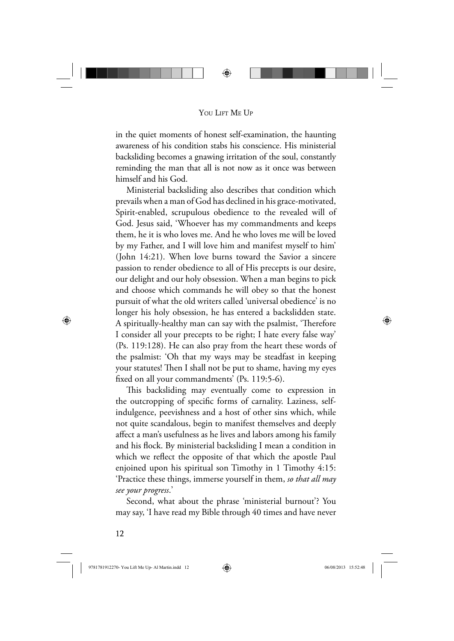

#### YOU LIFT ME UP

in the quiet moments of honest self-examination, the haunting awareness of his condition stabs his conscience. His ministerial backsliding becomes a gnawing irritation of the soul, constantly reminding the man that all is not now as it once was between himself and his God.

Ministerial backsliding also describes that condition which prevails when a man of God has declined in his grace-motivated, Spirit-enabled, scrupulous obedience to the revealed will of God. Jesus said, 'Whoever has my commandments and keeps them, he it is who loves me. And he who loves me will be loved by my Father, and I will love him and manifest myself to him' (John 14:21). When love burns toward the Savior a sincere passion to render obedience to all of His precepts is our desire, our delight and our holy obsession. When a man begins to pick and choose which commands he will obey so that the honest pursuit of what the old writers called 'universal obedience' is no longer his holy obsession, he has entered a backslidden state. A spiritually-healthy man can say with the psalmist, 'Therefore I consider all your precepts to be right; I hate every false way' (Ps. 119:128). He can also pray from the heart these words of the psalmist: 'Oh that my ways may be steadfast in keeping your statutes! Then I shall not be put to shame, having my eyes fixed on all your commandments' (Ps. 119:5-6).

This backsliding may eventually come to expression in the outcropping of specific forms of carnality. Laziness, selfindulgence, peevishness and a host of other sins which, while not quite scandalous, begin to manifest themselves and deeply affect a man's usefulness as he lives and labors among his family and his flock. By ministerial backsliding I mean a condition in which we reflect the opposite of that which the apostle Paul enjoined upon his spiritual son Timothy in 1 Timothy 4:15: 'Practice these things, immerse yourself in them, *so that all may see your progress*.'

Second, what about the phrase 'ministerial burnout'? You may say, 'I have read my Bible through 40 times and have never

12

⊕

9781781912270- You Lift Me Up- Al Martin.indd 12 06/08/2013 15:52:48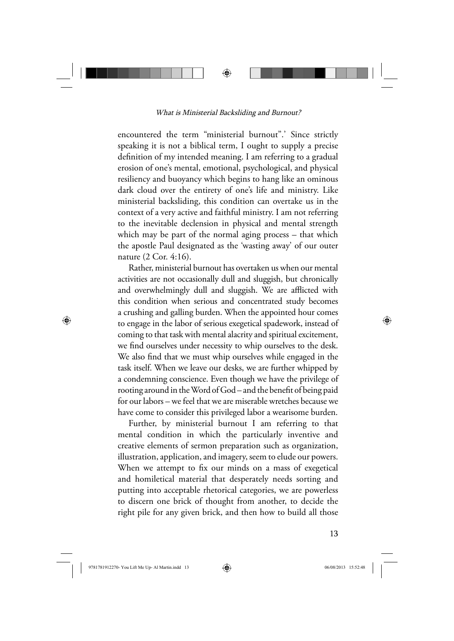

What is Ministerial Backsliding and Burnout?

encountered the term "ministerial burnout".' Since strictly speaking it is not a biblical term, I ought to supply a precise definition of my intended meaning. I am referring to a gradual erosion of one's mental, emotional, psychological, and physical resiliency and buoyancy which begins to hang like an ominous dark cloud over the entirety of one's life and ministry. Like ministerial backsliding, this condition can overtake us in the context of a very active and faithful ministry. I am not referring to the inevitable declension in physical and mental strength which may be part of the normal aging process – that which the apostle Paul designated as the 'wasting away' of our outer nature (2 Cor. 4:16).

Rather, ministerial burnout has overtaken us when our mental activities are not occasionally dull and sluggish, but chronically and overwhelmingly dull and sluggish. We are afflicted with this condition when serious and concentrated study becomes a crushing and galling burden. When the appointed hour comes to engage in the labor of serious exegetical spadework, instead of coming to that task with mental alacrity and spiritual excitement, we find ourselves under necessity to whip ourselves to the desk. We also find that we must whip ourselves while engaged in the task itself. When we leave our desks, we are further whipped by a condemning conscience. Even though we have the privilege of rooting around in the Word of God – and the benefit of being paid for our labors – we feel that we are miserable wretches because we have come to consider this privileged labor a wearisome burden.

Further, by ministerial burnout I am referring to that mental condition in which the particularly inventive and creative elements of sermon preparation such as organization, illustration, application, and imagery, seem to elude our powers. When we attempt to fix our minds on a mass of exegetical and homiletical material that desperately needs sorting and putting into acceptable rhetorical categories, we are powerless to discern one brick of thought from another, to decide the right pile for any given brick, and then how to build all those

⊕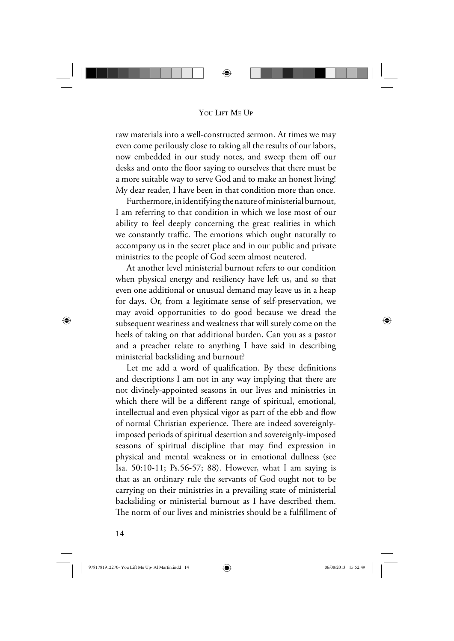

#### YOU LIFT ME UP

raw materials into a well-constructed sermon. At times we may even come perilously close to taking all the results of our labors, now embedded in our study notes, and sweep them off our desks and onto the floor saying to ourselves that there must be a more suitable way to serve God and to make an honest living! My dear reader, I have been in that condition more than once.

Furthermore, in identifying the nature of ministerial burnout, I am referring to that condition in which we lose most of our ability to feel deeply concerning the great realities in which we constantly traffic. The emotions which ought naturally to accompany us in the secret place and in our public and private ministries to the people of God seem almost neutered.

At another level ministerial burnout refers to our condition when physical energy and resiliency have left us, and so that even one additional or unusual demand may leave us in a heap for days. Or, from a legitimate sense of self-preservation, we may avoid opportunities to do good because we dread the subsequent weariness and weakness that will surely come on the heels of taking on that additional burden. Can you as a pastor and a preacher relate to anything I have said in describing ministerial backsliding and burnout?

Let me add a word of qualification. By these definitions and descriptions I am not in any way implying that there are not divinely-appointed seasons in our lives and ministries in which there will be a different range of spiritual, emotional, intellectual and even physical vigor as part of the ebb and flow of normal Christian experience. There are indeed sovereignlyimposed periods of spiritual desertion and sovereignly-imposed seasons of spiritual discipline that may find expression in physical and mental weakness or in emotional dullness (see Isa. 50:10-11; Ps.56-57; 88). However, what I am saying is that as an ordinary rule the servants of God ought not to be carrying on their ministries in a prevailing state of ministerial backsliding or ministerial burnout as I have described them. The norm of our lives and ministries should be a fulfillment of

14

⊕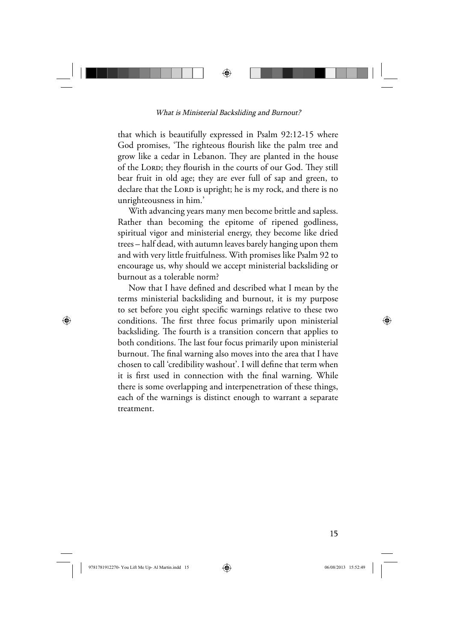

#### What is Ministerial Backsliding and Burnout?

that which is beautifully expressed in Psalm 92:12-15 where God promises, 'The righteous flourish like the palm tree and grow like a cedar in Lebanon. They are planted in the house of the LORD; they flourish in the courts of our God. They still bear fruit in old age; they are ever full of sap and green, to declare that the LORD is upright; he is my rock, and there is no unrighteousness in him.'

With advancing years many men become brittle and sapless. Rather than becoming the epitome of ripened godliness, spiritual vigor and ministerial energy, they become like dried trees – half dead, with autumn leaves barely hanging upon them and with very little fruitfulness. With promises like Psalm 92 to encourage us, why should we accept ministerial backsliding or burnout as a tolerable norm?

Now that I have defined and described what I mean by the terms ministerial backsliding and burnout, it is my purpose to set before you eight specific warnings relative to these two conditions. The first three focus primarily upon ministerial backsliding. The fourth is a transition concern that applies to both conditions. The last four focus primarily upon ministerial burnout. The final warning also moves into the area that I have chosen to call 'credibility washout'. I will define that term when it is first used in connection with the final warning. While there is some overlapping and interpenetration of these things, each of the warnings is distinct enough to warrant a separate treatment.

15

⊕